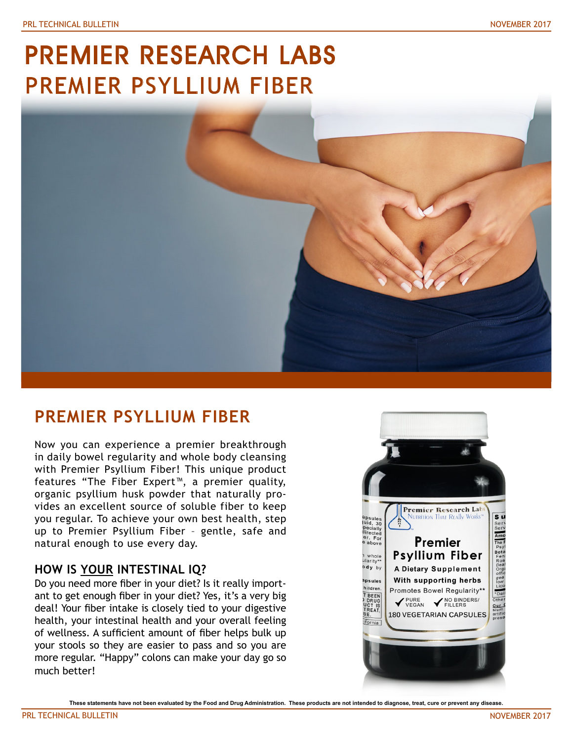# PREMIER RESEARCH LABS PREMIER PSYLLIUM FIBER



# **PREMIER PSYLLIUM FIBER**

Now you can experience a premier breakthrough in daily bowel regularity and whole body cleansing with Premier Psyllium Fiber! This unique product features "The Fiber Expert™, a premier quality, organic psyllium husk powder that naturally provides an excellent source of soluble fiber to keep you regular. To achieve your own best health, step up to Premier Psyllium Fiber – gentle, safe and natural enough to use every day.

## **HOW IS YOUR INTESTINAL IQ?**

Do you need more fiber in your diet? Is it really important to get enough fiber in your diet? Yes, it's a very big deal! Your fiber intake is closely tied to your digestive health, your intestinal health and your overall feeling of wellness. A sufficient amount of fiber helps bulk up your stools so they are easier to pass and so you are more regular. "Happy" colons can make your day go so much better!



**These statements have not been evaluated by the Food and Drug Administration. These products are not intended to diagnose, treat, cure or prevent any disease.**